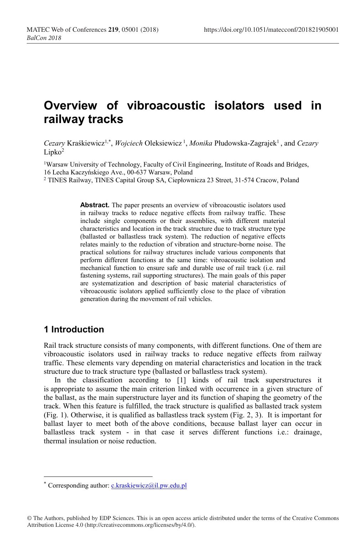# **Overview of vibroacoustic isolators used in railway tracks**

*Cezary* Kraśkiewicz1,\* , *Wojciech* Oleksiewicz <sup>1</sup> , *Monika* Płudowska-Zagrajek1 , and *Cezary*  $Lipko<sup>2</sup>$ 

1Warsaw University of Technology, Faculty of Civil Engineering, Institute of Roads and Bridges, 16 Lecha Kaczyńskiego Ave., 00-637 Warsaw, Poland

<sup>2</sup> TINES Railway, TINES Capital Group SA, Ciepłownicza 23 Street, 31-574 Cracow, Poland

**Abstract.** The paper presents an overview of vibroacoustic isolators used in railway tracks to reduce negative effects from railway traffic. These include single components or their assemblies, with different material characteristics and location in the track structure due to track structure type (ballasted or ballastless track system). The reduction of negative effects relates mainly to the reduction of vibration and structure-borne noise. The practical solutions for railway structures include various components that perform different functions at the same time: vibroacoustic isolation and mechanical function to ensure safe and durable use of rail track (i.e. rail fastening systems, rail supporting structures). The main goals of this paper are systematization and description of basic material characteristics of vibroacoustic isolators applied sufficiently close to the place of vibration generation during the movement of rail vehicles.

## **1 Introduction**

Rail track structure consists of many components, with different functions. One of them are vibroacoustic isolators used in railway tracks to reduce negative effects from railway traffic. These elements vary depending on material characteristics and location in the track structure due to track structure type (ballasted or ballastless track system).

In the classification according to [1] kinds of rail track superstructures it is appropriate to assume the main criterion linked with occurrence in a given structure of the ballast, as the main superstructure layer and its function of shaping the geometry of the track. When this feature is fulfilled, the track structure is qualified as ballasted track system (Fig. 1). Otherwise, it is qualified as ballastless track system (Fig. 2, 3). It is important for ballast layer to meet both of the above conditions, because ballast layer can occur in ballastless track system - in that case it serves different functions i.e.: drainage, thermal insulation or noise reduction.

<sup>\*</sup> Corresponding author: c.kraskiewicz@il.pw.edu.pl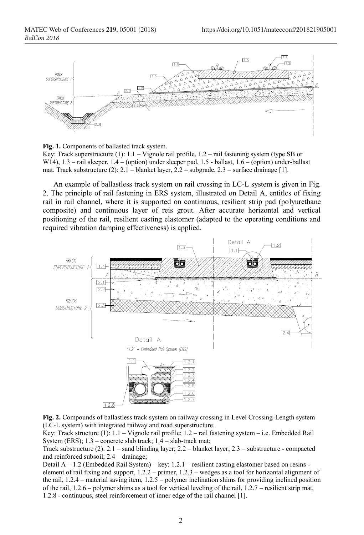

**Fig. 1.** Components of ballasted track system.

Key: Track superstructure  $(1)$ :  $1.1 -$ Vignole rail profile,  $1.2 -$  rail fastening system (type SB or W14),  $1.3$  – rail sleeper,  $1.4$  – (option) under sleeper pad,  $1.5$  - ballast,  $1.6$  – (option) under-ballast mat. Track substructure (2): 2.1 – blanket layer, 2.2 – subgrade, 2.3 – surface drainage [1].

An example of ballastless track system on rail crossing in LC-L system is given in Fig. 2. The principle of rail fastening in ERS system, illustrated on Detail A, entitles of fixing rail in rail channel, where it is supported on continuous, resilient strip pad (polyurethane composite) and continuous layer of reis grout. After accurate horizontal and vertical positioning of the rail, resilient casting elastomer (adapted to the operating conditions and required vibration damping effectiveness) is applied.



**Fig. 2.** Compounds of ballastless track system on railway crossing in Level Crossing-Length system (LC-L system) with integrated railway and road superstructure.

Key: Track structure (1): 1.1 – Vignole rail profile; 1.2 – rail fastening system – i.e. Embedded Rail System (ERS); 1.3 – concrete slab track; 1.4 – slab-track mat;

Track substructure (2): 2.1 – sand blinding layer; 2.2 – blanket layer; 2.3 – substructure - compacted and reinforced subsoil; 2.4 – drainage;

Detail A – 1.2 (Embedded Rail System) – key: 1.2.1 – resilient casting elastomer based on resins element of rail fixing and support, 1.2.2 – primer, 1.2.3 – wedges as a tool for horizontal alignment of the rail, 1.2.4 – material saving item, 1.2.5 – polymer inclination shims for providing inclined position of the rail, 1.2.6 – polymer shims as a tool for vertical leveling of the rail, 1.2.7 – resilient strip mat, 1.2.8 - continuous, steel reinforcement of inner edge of the rail channel [1].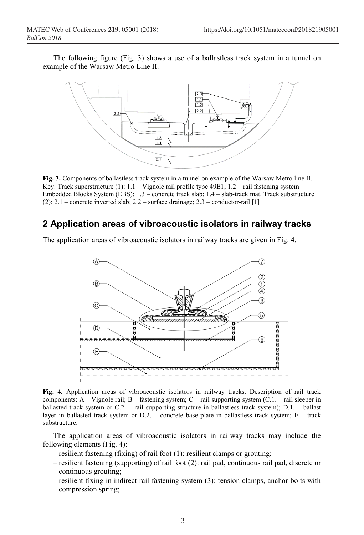The following figure (Fig. 3) shows a use of a ballastless track system in a tunnel on example of the Warsaw Metro Line II.



**Fig. 3.** Components of ballastless track system in a tunnel on example of the Warsaw Metro line II. Key: Track superstructure (1):  $1.1 -$ Vignole rail profile type 49E1;  $1.2 -$  rail fastening system – Embedded Blocks System (EBS); 1.3 – concrete track slab; 1.4 – slab-track mat. Track substructure (2):  $2.1$  – concrete inverted slab;  $2.2$  – surface drainage;  $2.3$  – conductor-rail [1]

### **2 Application areas of vibroacoustic isolators in railway tracks**

The application areas of vibroacoustic isolators in railway tracks are given in Fig. 4.



**Fig. 4.** Application areas of vibroacoustic isolators in railway tracks. Description of rail track components:  $A - V$ ignole rail;  $B -$  fastening system;  $C -$  rail supporting system  $(C.1 -$  rail sleeper in ballasted track system or C.2. – rail supporting structure in ballastless track system); D.1. – ballast layer in ballasted track system or  $D.2.$  – concrete base plate in ballastless track system; E – track substructure.

The application areas of vibroacoustic isolators in railway tracks may include the following elements (Fig. 4):

- resilient fastening (fixing) of rail foot (1): resilient clamps or grouting;
- $-$  resilient fastening (supporting) of rail foot (2): rail pad, continuous rail pad, discrete or continuous grouting;
- resilient fixing in indirect rail fastening system (3): tension clamps, anchor bolts with compression spring;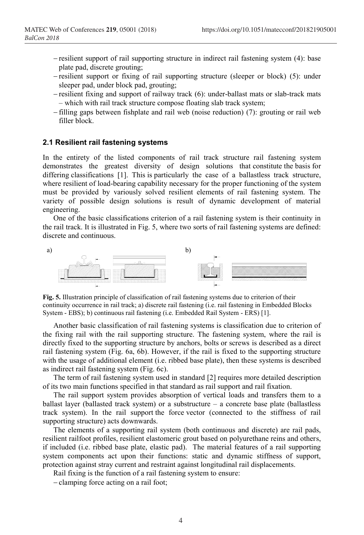- resilient support of rail supporting structure in indirect rail fastening system (4): base plate pad, discrete grouting;
- resilient support or fixing of rail supporting structure (sleeper or block) (5): under sleeper pad, under block pad, grouting;
- resilient fixing and support of railway track (6): under-ballast mats or slab-track mats – which with rail track structure compose floating slab track system;
- filling gaps between fishplate and rail web (noise reduction) (7): grouting or rail web filler block.

#### **2.1 Resilient rail fastening systems**

In the entirety of the listed components of rail track structure rail fastening system demonstrates the greatest diversity of design solutions that constitute the basis for differing classifications [1]. This is particularly the case of a ballastless track structure, where resilient of load-bearing capability necessary for the proper functioning of the system must be provided by variously solved resilient elements of rail fastening system. The variety of possible design solutions is result of dynamic development of material engineering.

One of the basic classifications criterion of a rail fastening system is their continuity in the rail track. It is illustrated in Fig. 5, where two sorts of rail fastening systems are defined: discrete and continuous.



**Fig. 5.** Illustration principle of classification of rail fastening systems due to criterion of their continuity occurrence in rail track; a) discrete rail fastening (i.e. rail fastening in Embedded Blocks System - EBS); b) continuous rail fastening (i.e. Embedded Rail System - ERS) [1].

Another basic classification of rail fastening systems is classification due to criterion of the fixing rail with the rail supporting structure. The fastening system, where the rail is directly fixed to the supporting structure by anchors, bolts or screws is described as a direct rail fastening system (Fig. 6a, 6b). However, if the rail is fixed to the supporting structure with the usage of additional element (i.e. ribbed base plate), then these systems is described as indirect rail fastening system (Fig. 6c).

The term of rail fastening system used in standard [2] requires more detailed description of its two main functions specified in that standard as rail support and rail fixation.

The rail support system provides absorption of vertical loads and transfers them to a ballast layer (ballasted track system) or a substructure  $-$  a concrete base plate (ballastless track system). In the rail support the force vector (connected to the stiffness of rail supporting structure) acts downwards.

The elements of a supporting rail system (both continuous and discrete) are rail pads, resilient railfoot profiles, resilient elastomeric grout based on polyurethane reins and others, if included (i.e. ribbed base plate, elastic pad). The material features of a rail supporting system components act upon their functions: static and dynamic stiffness of support, protection against stray current and restraint against longitudinal rail displacements.

Rail fixing is the function of a rail fastening system to ensure:

- clamping force acting on a rail foot;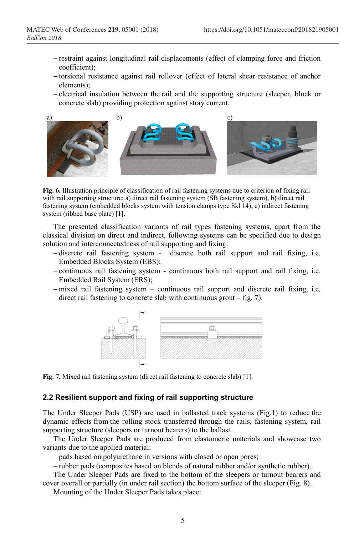- restraint against longitudinal rail displacements (effect of clamping force and friction coefficient);
- -torsional resistance against rail rollover (effect of lateral shear resistance of anchor elements);
- electrical insulation between the rail and the supporting structure (sleeper, block or concrete slab) providing protection against stray current.



**Fig. 6.** Illustration principle of classification of rail fastening systems due to criterion of fixing rail with rail supporting structure: a) direct rail fastening system (SB fastening system), b) direct rail fastening system (embedded blocks system with tension clamps type Skl 14), c) indirect fastening system (ribbed base plate) [1].

The presented classification variants of rail types fastening systems, apart from the classical division on direct and indirect, following systems can be specified due to design solution and interconnectedness of rail supporting and fixing:

- -discrete rail fastening system discrete both rail support and rail fixing, i.e. Embedded Blocks System (EBS);
- continuous rail fastening system continuous both rail support and rail fixing, i.e. Embedded Rail System (ERS);
- -mixed rail fastening system continuous rail support and discrete rail fixing, i.e. direct rail fastening to concrete slab with continuous grout – fig. 7).



**Fig. 7.** Mixed rail fastening system (direct rail fastening to concrete slab) [1].

#### **2.2 Resilient support and fixing of rail supporting structure**

The Under Sleeper Pads (USP) are used in ballasted track systems (Fig.1) to reduce the dynamic effects from the rolling stock transferred through the rails, fastening system, rail supporting structure (sleepers or turnout bearers) to the ballast.

The Under Sleeper Pads are produced from elastomeric materials and showcase two variants due to the applied material:

- pads based on polyurethane in versions with closed or open pores;

rubber pads (composites based on blends of natural rubber and/or synthetic rubber).

The Under Sleeper Pads are fixed to the bottom of the sleepers or turnout bearers and cover overall or partially (in under rail section) the bottom surface of the sleeper (Fig. 8).

Mounting of the Under Sleeper Pads takes place: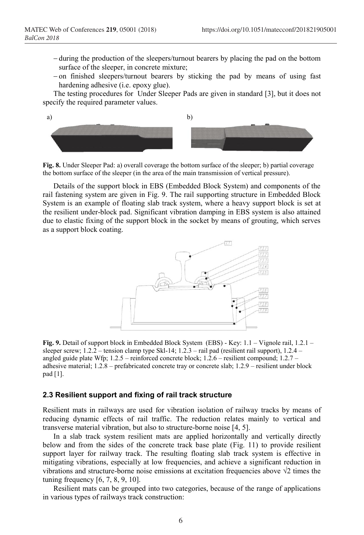- during the production of the sleepers/turnout bearers by placing the pad on the bottom surface of the sleeper, in concrete mixture;
- $-$ on finished sleepers/turnout bearers by sticking the pad by means of using fast hardening adhesive (i.e. epoxy glue).

The testing procedures for Under Sleeper Pads are given in standard [3], but it does not specify the required parameter values.



**Fig. 8.** Under Sleeper Pad: a) overall coverage the bottom surface of the sleeper; b) partial coverage the bottom surface of the sleeper (in the area of the main transmission of vertical pressure).

Details of the support block in EBS (Embedded Block System) and components of the rail fastening system are given in Fig. 9. The rail supporting structure in Embedded Block System is an example of floating slab track system, where a heavy support block is set at the resilient under-block pad. Significant vibration damping in EBS system is also attained due to elastic fixing of the support block in the socket by means of grouting, which serves as a support block coating.



**Fig. 9.** Detail of support block in Embedded Block System (EBS) - Key: 1.1 – Vignole rail, 1.2.1 – sleeper screw; 1.2.2 – tension clamp type Skl-14; 1.2.3 – rail pad (resilient rail support), 1.2.4 – angled guide plate Wfp; 1.2.5 – reinforced concrete block; 1.2.6 – resilient compound; 1.2.7 – adhesive material; 1.2.8 – prefabricated concrete tray or concrete slab; 1.2.9 – resilient under block pad [1].

#### **2.3 Resilient support and fixing of rail track structure**

Resilient mats in railways are used for vibration isolation of railway tracks by means of reducing dynamic effects of rail traffic. The reduction relates mainly to vertical and transverse material vibration, but also to structure-borne noise [4, 5].

In a slab track system resilient mats are applied horizontally and vertically directly below and from the sides of the concrete track base plate (Fig. 11) to provide resilient support layer for railway track. The resulting floating slab track system is effective in mitigating vibrations, especially at low frequencies, and achieve a significant reduction in vibrations and structure-borne noise emissions at excitation frequencies above  $\sqrt{2}$  times the tuning frequency [6, 7, 8, 9, 10].

Resilient mats can be grouped into two categories, because of the range of applications in various types of railways track construction: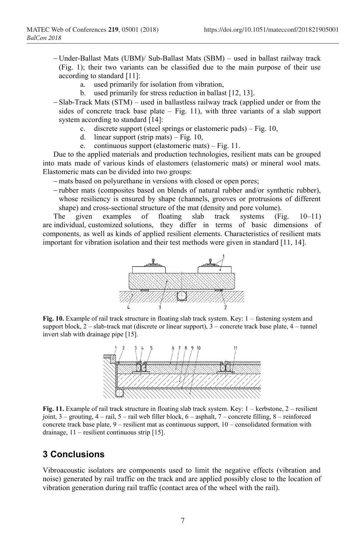- Under-Ballast Mats (UBM)/ Sub-Ballast Mats (SBM) used in ballast railway track (Fig. 1); their two variants can be classified due to the main purpose of their use according to standard [11]:
	- a. used primarily for isolation from vibration,
	- b. used primarily for stress reduction in ballast [12, 13].
- Slab-Track Mats (STM) used in ballastless railway track (applied under or from the sides of concrete track base plate – Fig. 11), with three variants of a slab support system according to standard [14]:
	- c. discrete support (steel springs or elastomeric pads) Fig. 10,
	- d. linear support (strip mats) Fig.  $10$ ,
	- e. continuous support (elastomeric mats) Fig. 11.

Due to the applied materials and production technologies, resilient mats can be grouped into mats made of various kinds of elastomers (elastomeric mats) or mineral wool mats. Elastomeric mats can be divided into two groups:

- mats based on polyurethane in versions with closed or open pores;

 $-$ rubber mats (composites based on blends of natural rubber and/or synthetic rubber), whose resiliency is ensured by shape (channels, grooves or protrusions of different shape) and cross-sectional structure of the mat (density and pore volume).

The given examples of floating slab track systems (Fig. 10–11) are individual, customized solutions, they differ in terms of basic dimensions of components, as well as kinds of applied resilient elements. Characteristics of resilient mats important for vibration isolation and their test methods were given in standard [11, 14].



**Fig. 10.** Example of rail track structure in floating slab track system. Key: 1 – fastening system and support block, 2 – slab-track mat (discrete or linear support), 3 – concrete track base plate, 4 – tunnel invert slab with drainage pipe [15].



**Fig. 11.** Example of rail track structure in floating slab track system. Key: 1 – kerbstone, 2 – resilient joint,  $3$  – grouting,  $4$  – rail,  $5$  – rail web filler block,  $6$  – asphalt,  $7$  – concrete filling,  $8$  – reinforced concrete track base plate, 9 – resilient mat as continuous support, 10 – consolidated formation with drainage, 11 – resilient continuous strip [15].

## **3 Conclusions**

Vibroacoustic isolators are components used to limit the negative effects (vibration and noise) generated by rail traffic on the track and are applied possibly close to the location of vibration generation during rail traffic (contact area of the wheel with the rail).